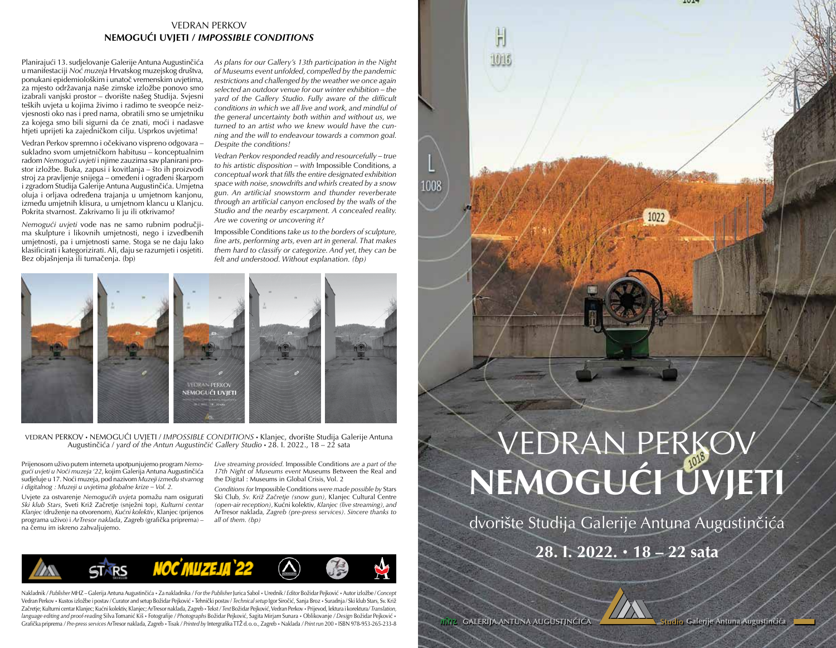## VEDRAN PERKOV **NEMOGUĆI UVJETI /** *IMPOSSIBLE CONDITIONS*

Planirajući 13. sudjelovanje Galerije Antuna Augustinčića u manifestaciji *Noć muzeja* Hrvatskog muzejskog društva, ponukani epidemiološkim i unatoč vremenskim uvjetima, za mjesto održavanja naše zimske izložbe ponovo smo izabrali vanjski prostor – dvorište našeg Studija. Svjesni teških uvjeta u kojima živimo i radimo te sveopće neizvjesnosti oko nas i pred nama, obratili smo se umjetniku za kojega smo bili sigurni da će znati, moći i nadasve htjeti uprijeti ka zajedničkom cilju. Usprkos uvjetima!

Vedran Perkov spremno i očekivano vispreno odgovara – sukladno svom umjetničkom habitusu – konceptualnim radom *Nemogući uvjeti* i njime zauzima sav planirani prostor izložbe. Buka, zapusi i kovitlanja – što ih proizvodi stroj za pravljenje snijega – omeđeni i ograđeni škarpom i zgradom Studija Galerije Antuna Augustinčića. Umjetna oluja i orljava određena trajanja u umjetnom kanjonu, između umjetnih klisura, u umjetnom klancu u Klanjcu. Pokrita stvarnost. Zakrivamo li ju ili otkrivamo?

*Nemogući uvjeti* vode nas ne samo rubnim područjima skulpture i likovnih umjetnosti, nego i izvedbenih umjetnosti, pa i umjetnosti same. Stoga se ne daju lako klasificirati i kategorizirati. Ali, daju se razumjeti i osjetiti. Bez objašnjenja ili tumačenja. (bp)

*As plans for our Gallery's 13th participation in the Night of Museums event unfolded, compelled by the pandemic restrictions and challenged by the weather we once again selected an outdoor venue for our winter exhibition – the yard of the Gallery Studio. Fully aware of the difficult conditions in which we all live and work, and mindful of the general uncertainty both within and without us, we turned to an artist who we knew would have the cunning and the will to endeavour towards a common goal. Despite the conditions!*

*Vedran Perkov responded readily and resourcefully – true to his artistic disposition – with* Impossible Conditions*, a conceptual work that fills the entire designated exhibition space with noise, snowdrifts and whirls created by a snow gun. An artificial snowstorm and thunder reverberate through an artificial canyon enclosed by the walls of the Studio and the nearby escarpment. A concealed reality. Are we covering or uncovering it?*

Impossible Conditions *take us to the borders of sculpture, fine arts, performing arts, even art in general. That makes them hard to classify or categorize. And yet, they can be felt and understood. Without explanation. (bp)*



VEDRAN PERKOV • NEMOGUĆI UVJETI / *IMPOSSIBLE CONDITIONS* • Klanjec, dvorište Studija Galerije Antuna Augustinčića / *yard of the Antun Augustinčić Gallery Studio* • 28. I. 2022., 18 – 22 sata

Prijenosom uživo putem interneta upotpunjujemo program *Nemogući uvjeti u Noći muzeja '22*, kojim Galerija Antuna Augustinčića sudjeluje u 17. Noći muzeja, pod nazivom *Muzeji između stvarnog i digitalnog : Muzeji u uvjetima globalne krize – Vol. 2.*

Uvjete za ostvarenje *Nemogućih uvjeta* pomažu nam osigurati *Ski klub Stars*, Sveti Križ Začretje (snježni top), *Kulturni centar Klanjec* (druženje na otvorenom), *Kućni kolektiv*, Klanjec (prijenos programa uživo) i *ArTresor naklada*, Zagreb (grafička priprema) – na čemu im iskreno zahvaljujemo.

*Live streaming provided.* Impossible Conditions *are a part of the 17th Night of Museums event* Museums Between the Real and the Digital : Museums in Global Crisis, Vol. 2

*Conditions for* Impossible Conditions *were made possible by* Stars Ski Club*, Sv. Križ Začretje (snow gun),* Klanjec Cultural Centre *(open-air reception),* Kućni kolektiv*, Klanjec (live streaming), and*  ArTresor naklada*, Zagreb (pre-press services). Sincere thanks to all of them. (bp)*



Nakladnik */ Publisher* MHZ – Galerija Antuna Augustinčića • Za nakladnika */ For the Publisher* Jurica Sabol • Urednik / *Editor* Božidar Pejković • Autor izložbe / *Concept* Vedran Perkov • Kustos izložbe i postav / Curator and setup Božidar Pejković • Tehnički postav / *Technical setup* Igor Siročić, Sanja Broz • Suradnja / Ski klub Stars, Sv. Križ Začretje; Kulturni centar Klanjec; Kućni kolektiv, Klanjec; ArTresor naklada, Zagreb • Tekst */ Text* Božidar Pejković, Vedran Perkov • Prijevod, lektura i korektura*/ Translation, language editing and proof-reading* Silva Tomanić Kiš • Fotografije */ Photographs* Božidar Pejković, Sagita Mirjam Sunara • Oblikovanje */ Design* Božidar Pejković • Grafička priprema */ Pre-press services* ArTresor naklada, Zagreb • Tisak */ Printed by* Intergrafika TTŽ d.o.o., Zagreb • Naklada */ Print run* 200 • ISBN 978-953-265-233-8

## VEDRAN PERKOV **NEMOGUĆI UVJETI**

H

**TOTE** 

1008

dvorište Studija Galerije Antuna Augustinčića

**28. I. 2022. • 18 – 22 sata**